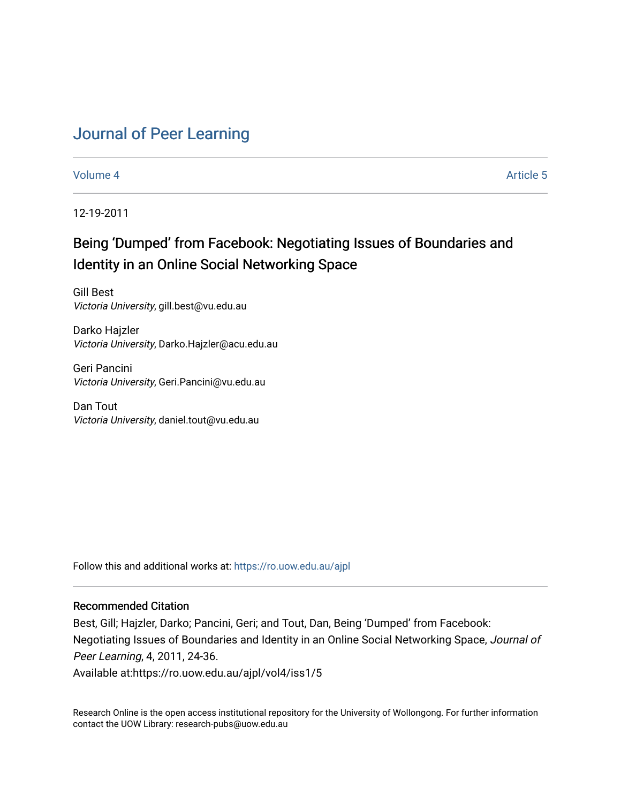# [Journal of Peer Learning](https://ro.uow.edu.au/ajpl)

[Volume 4](https://ro.uow.edu.au/ajpl/vol4) Article 5

12-19-2011

# Being 'Dumped' from Facebook: Negotiating Issues of Boundaries and Identity in an Online Social Networking Space

Gill Best Victoria University, gill.best@vu.edu.au

Darko Hajzler Victoria University, Darko.Hajzler@acu.edu.au

Geri Pancini Victoria University, Geri.Pancini@vu.edu.au

Dan Tout Victoria University, daniel.tout@vu.edu.au

Follow this and additional works at: [https://ro.uow.edu.au/ajpl](https://ro.uow.edu.au/ajpl?utm_source=ro.uow.edu.au%2Fajpl%2Fvol4%2Fiss1%2F5&utm_medium=PDF&utm_campaign=PDFCoverPages) 

# Recommended Citation

Best, Gill; Hajzler, Darko; Pancini, Geri; and Tout, Dan, Being 'Dumped' from Facebook: Negotiating Issues of Boundaries and Identity in an Online Social Networking Space, Journal of Peer Learning, 4, 2011, 24-36. Available at:https://ro.uow.edu.au/ajpl/vol4/iss1/5

Research Online is the open access institutional repository for the University of Wollongong. For further information contact the UOW Library: research-pubs@uow.edu.au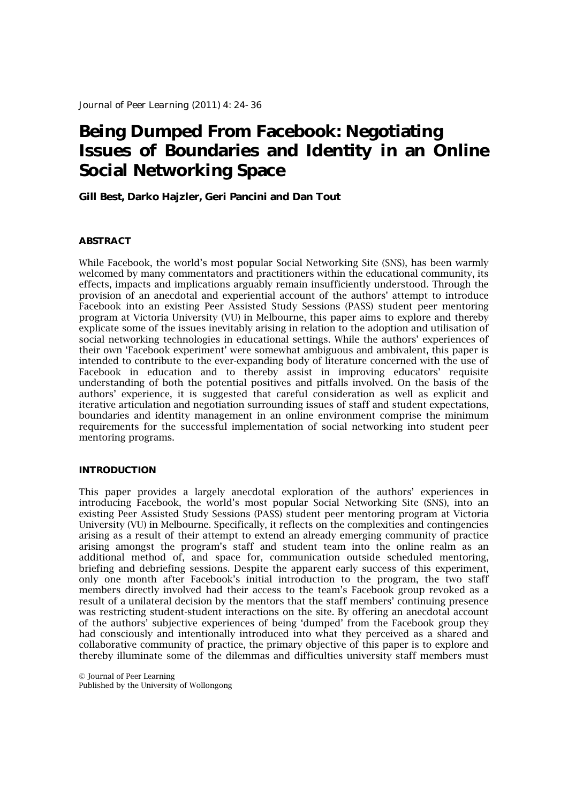# **Being Dumped From Facebook: Negotiating Issues of Boundaries and Identity in an Online Social Networking Space**

# **Gill Best, Darko Hajzler, Geri Pancini and Dan Tout**

## **ABSTRACT**

While Facebook, the world's most popular Social Networking Site (SNS), has been warmly welcomed by many commentators and practitioners within the educational community, its effects, impacts and implications arguably remain insufficiently understood. Through the provision of an anecdotal and experiential account of the authors' attempt to introduce Facebook into an existing Peer Assisted Study Sessions (PASS) student peer mentoring program at Victoria University (VU) in Melbourne, this paper aims to explore and thereby explicate some of the issues inevitably arising in relation to the adoption and utilisation of social networking technologies in educational settings. While the authors' experiences of their own 'Facebook experiment' were somewhat ambiguous and ambivalent, this paper is intended to contribute to the ever-expanding body of literature concerned with the use of Facebook in education and to thereby assist in improving educators' requisite understanding of both the potential positives and pitfalls involved. On the basis of the authors' experience, it is suggested that careful consideration as well as explicit and iterative articulation and negotiation surrounding issues of staff and student expectations, boundaries and identity management in an online environment comprise the minimum requirements for the successful implementation of social networking into student peer mentoring programs.

# **INTRODUCTION**

This paper provides a largely anecdotal exploration of the authors' experiences in introducing Facebook, the world's most popular Social Networking Site (SNS), into an existing Peer Assisted Study Sessions (PASS) student peer mentoring program at Victoria University (VU) in Melbourne. Specifically, it reflects on the complexities and contingencies arising as a result of their attempt to extend an already emerging community of practice arising amongst the program's staff and student team into the online realm as an additional method of, and space for, communication outside scheduled mentoring, briefing and debriefing sessions. Despite the apparent early success of this experiment, only one month after Facebook's initial introduction to the program, the two staff members directly involved had their access to the team's Facebook group revoked as a result of a unilateral decision by the mentors that the staff members' continuing presence was restricting student-student interactions on the site. By offering an anecdotal account of the authors' subjective experiences of being 'dumped' from the Facebook group they had consciously and intentionally introduced into what they perceived as a shared and collaborative community of practice, the primary objective of this paper is to explore and thereby illuminate some of the dilemmas and difficulties university staff members must

© Journal of Peer Learning Published by the University of Wollongong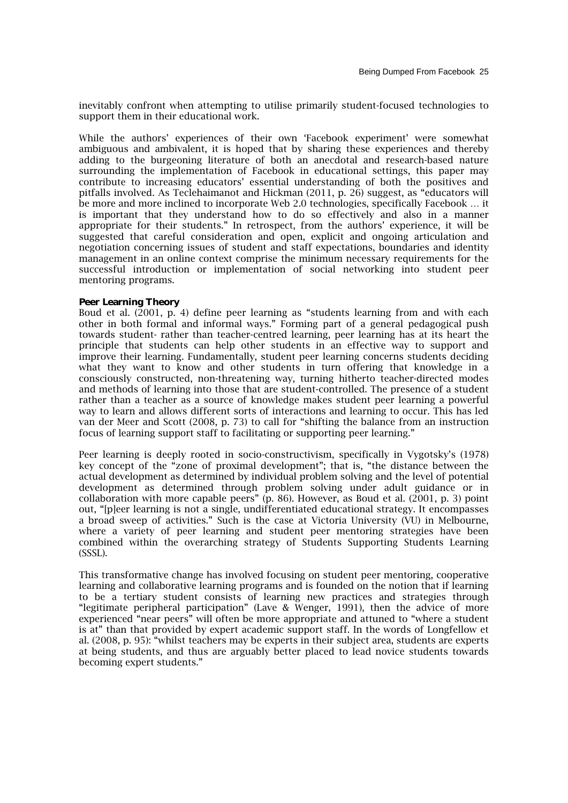inevitably confront when attempting to utilise primarily student-focused technologies to support them in their educational work.

While the authors' experiences of their own 'Facebook experiment' were somewhat ambiguous and ambivalent, it is hoped that by sharing these experiences and thereby adding to the burgeoning literature of both an anecdotal and research-based nature surrounding the implementation of Facebook in educational settings, this paper may contribute to increasing educators' essential understanding of both the positives and pitfalls involved. As Teclehaimanot and Hickman (2011, p. 26) suggest, as "educators will be more and more inclined to incorporate Web 2.0 technologies, specifically Facebook … it is important that they understand how to do so effectively and also in a manner appropriate for their students." In retrospect, from the authors' experience, it will be suggested that careful consideration and open, explicit and ongoing articulation and negotiation concerning issues of student and staff expectations, boundaries and identity management in an online context comprise the minimum necessary requirements for the successful introduction or implementation of social networking into student peer mentoring programs.

#### **Peer Learning Theory**

Boud et al. (2001, p. 4) define peer learning as "students learning from and with each other in both formal and informal ways." Forming part of a general pedagogical push towards student- rather than teacher-centred learning, peer learning has at its heart the principle that students can help other students in an effective way to support and improve their learning. Fundamentally, student peer learning concerns students deciding what they want to know and other students in turn offering that knowledge in a consciously constructed, non-threatening way, turning hitherto teacher-directed modes and methods of learning into those that are student-controlled. The presence of a student rather than a teacher as a source of knowledge makes student peer learning a powerful way to learn and allows different sorts of interactions and learning to occur. This has led van der Meer and Scott (2008, p. 73) to call for "shifting the balance from an instruction focus of learning support staff to facilitating or supporting peer learning."

Peer learning is deeply rooted in socio-constructivism, specifically in Vygotsky's (1978) key concept of the "zone of proximal development"; that is, "the distance between the actual development as determined by individual problem solving and the level of potential development as determined through problem solving under adult guidance or in collaboration with more capable peers" (p. 86). However, as Boud et al. (2001, p. 3) point out, "[p]eer learning is not a single, undifferentiated educational strategy. It encompasses a broad sweep of activities." Such is the case at Victoria University (VU) in Melbourne, where a variety of peer learning and student peer mentoring strategies have been combined within the overarching strategy of Students Supporting Students Learning (SSSL).

This transformative change has involved focusing on student peer mentoring, cooperative learning and collaborative learning programs and is founded on the notion that if learning to be a tertiary student consists of learning new practices and strategies through "legitimate peripheral participation" (Lave & Wenger, 1991), then the advice of more experienced "near peers" will often be more appropriate and attuned to "where a student is at" than that provided by expert academic support staff. In the words of Longfellow et al. (2008, p. 95): "whilst teachers may be experts in their subject area, students are experts at being students, and thus are arguably better placed to lead novice students towards becoming expert students."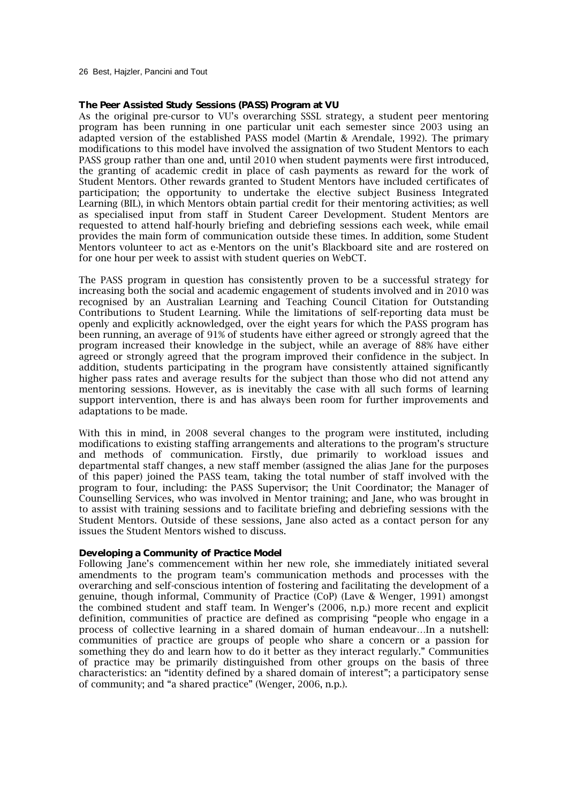26 Best, Hajzler, Pancini and Tout

#### **The Peer Assisted Study Sessions (PASS) Program at VU**

As the original pre-cursor to VU's overarching SSSL strategy, a student peer mentoring program has been running in one particular unit each semester since 2003 using an adapted version of the established PASS model (Martin & Arendale, 1992). The primary modifications to this model have involved the assignation of two Student Mentors to each PASS group rather than one and, until 2010 when student payments were first introduced, the granting of academic credit in place of cash payments as reward for the work of Student Mentors. Other rewards granted to Student Mentors have included certificates of participation; the opportunity to undertake the elective subject Business Integrated Learning (BIL), in which Mentors obtain partial credit for their mentoring activities; as well as specialised input from staff in Student Career Development. Student Mentors are requested to attend half-hourly briefing and debriefing sessions each week, while email provides the main form of communication outside these times. In addition, some Student Mentors volunteer to act as e-Mentors on the unit's Blackboard site and are rostered on for one hour per week to assist with student queries on WebCT.

The PASS program in question has consistently proven to be a successful strategy for increasing both the social and academic engagement of students involved and in 2010 was recognised by an Australian Learning and Teaching Council Citation for Outstanding Contributions to Student Learning. While the limitations of self-reporting data must be openly and explicitly acknowledged, over the eight years for which the PASS program has been running, an average of 91% of students have either agreed or strongly agreed that the program increased their knowledge in the subject, while an average of 88% have either agreed or strongly agreed that the program improved their confidence in the subject. In addition, students participating in the program have consistently attained significantly higher pass rates and average results for the subject than those who did not attend any mentoring sessions. However, as is inevitably the case with all such forms of learning support intervention, there is and has always been room for further improvements and adaptations to be made.

With this in mind, in 2008 several changes to the program were instituted, including modifications to existing staffing arrangements and alterations to the program's structure and methods of communication. Firstly, due primarily to workload issues and departmental staff changes, a new staff member (assigned the alias Jane for the purposes of this paper) joined the PASS team, taking the total number of staff involved with the program to four, including: the PASS Supervisor; the Unit Coordinator; the Manager of Counselling Services, who was involved in Mentor training; and Jane, who was brought in to assist with training sessions and to facilitate briefing and debriefing sessions with the Student Mentors. Outside of these sessions, Jane also acted as a contact person for any issues the Student Mentors wished to discuss.

#### **Developing a Community of Practice Model**

Following Jane's commencement within her new role, she immediately initiated several amendments to the program team's communication methods and processes with the overarching and self-conscious intention of fostering and facilitating the development of a genuine, though informal, Community of Practice (CoP) (Lave & Wenger, 1991) amongst the combined student and staff team. In Wenger's (2006, n.p.) more recent and explicit definition, communities of practice are defined as comprising "people who engage in a process of collective learning in a shared domain of human endeavour…In a nutshell: communities of practice are groups of people who share a concern or a passion for something they do and learn how to do it better as they interact regularly." Communities of practice may be primarily distinguished from other groups on the basis of three characteristics: an "identity defined by a shared domain of interest"; a participatory sense of community; and "a shared practice" (Wenger, 2006, n.p.).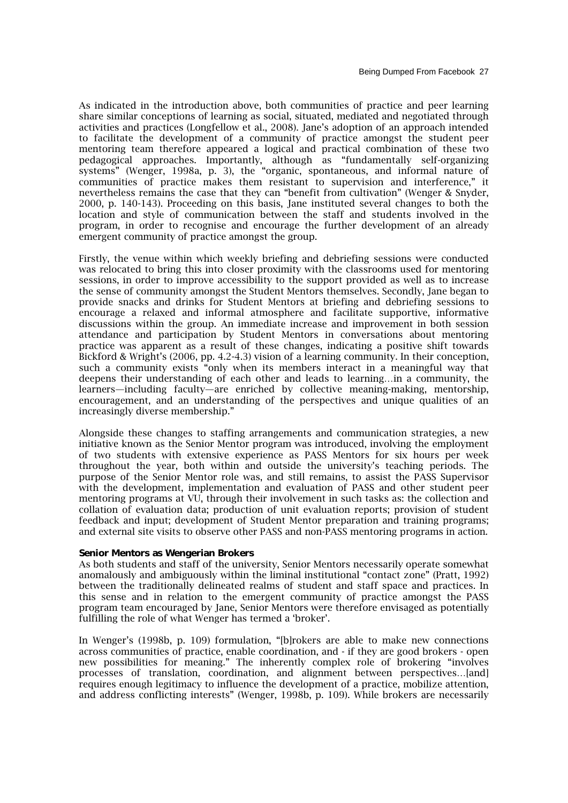As indicated in the introduction above, both communities of practice and peer learning share similar conceptions of learning as social, situated, mediated and negotiated through activities and practices (Longfellow et al., 2008). Jane's adoption of an approach intended to facilitate the development of a community of practice amongst the student peer mentoring team therefore appeared a logical and practical combination of these two pedagogical approaches. Importantly, although as "fundamentally self-organizing systems" (Wenger, 1998a, p. 3), the "organic, spontaneous, and informal nature of communities of practice makes them resistant to supervision and interference," it nevertheless remains the case that they can "benefit from cultivation" (Wenger & Snyder, 2000, p. 140-143). Proceeding on this basis, Jane instituted several changes to both the location and style of communication between the staff and students involved in the program, in order to recognise and encourage the further development of an already emergent community of practice amongst the group.

Firstly, the venue within which weekly briefing and debriefing sessions were conducted was relocated to bring this into closer proximity with the classrooms used for mentoring sessions, in order to improve accessibility to the support provided as well as to increase the sense of community amongst the Student Mentors themselves. Secondly, Jane began to provide snacks and drinks for Student Mentors at briefing and debriefing sessions to encourage a relaxed and informal atmosphere and facilitate supportive, informative discussions within the group. An immediate increase and improvement in both session attendance and participation by Student Mentors in conversations about mentoring practice was apparent as a result of these changes, indicating a positive shift towards Bickford & Wright's (2006, pp. 4.2-4.3) vision of a learning community. In their conception, such a community exists "only when its members interact in a meaningful way that deepens their understanding of each other and leads to learning…in a community, the learners—including faculty—are enriched by collective meaning-making, mentorship, encouragement, and an understanding of the perspectives and unique qualities of an increasingly diverse membership."

Alongside these changes to staffing arrangements and communication strategies, a new initiative known as the Senior Mentor program was introduced, involving the employment of two students with extensive experience as PASS Mentors for six hours per week throughout the year, both within and outside the university's teaching periods. The purpose of the Senior Mentor role was, and still remains, to assist the PASS Supervisor with the development, implementation and evaluation of PASS and other student peer mentoring programs at VU, through their involvement in such tasks as: the collection and collation of evaluation data; production of unit evaluation reports; provision of student feedback and input; development of Student Mentor preparation and training programs; and external site visits to observe other PASS and non-PASS mentoring programs in action.

#### **Senior Mentors as Wengerian Brokers**

As both students and staff of the university, Senior Mentors necessarily operate somewhat anomalously and ambiguously within the liminal institutional "contact zone" (Pratt, 1992) between the traditionally delineated realms of student and staff space and practices. In this sense and in relation to the emergent community of practice amongst the PASS program team encouraged by Jane, Senior Mentors were therefore envisaged as potentially fulfilling the role of what Wenger has termed a 'broker'.

In Wenger's (1998b, p. 109) formulation, "[b]rokers are able to make new connections across communities of practice, enable coordination, and - if they are good brokers - open new possibilities for meaning." The inherently complex role of brokering "involves processes of translation, coordination, and alignment between perspectives…[and] requires enough legitimacy to influence the development of a practice, mobilize attention, and address conflicting interests" (Wenger, 1998b, p. 109). While brokers are necessarily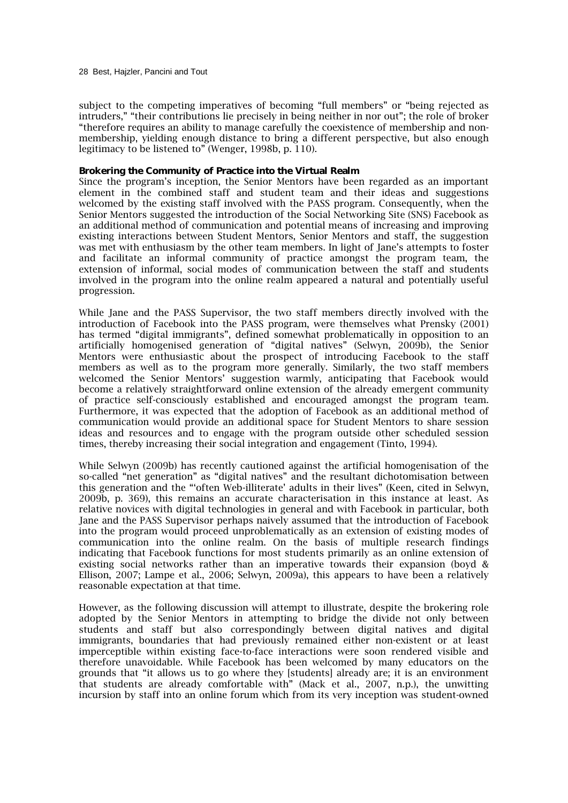28 Best, Hajzler, Pancini and Tout

subject to the competing imperatives of becoming "full members" or "being rejected as intruders," "their contributions lie precisely in being neither in nor out"; the role of broker "therefore requires an ability to manage carefully the coexistence of membership and nonmembership, yielding enough distance to bring a different perspective, but also enough legitimacy to be listened to" (Wenger, 1998b, p. 110).

#### **Brokering the Community of Practice into the Virtual Realm**

Since the program's inception, the Senior Mentors have been regarded as an important element in the combined staff and student team and their ideas and suggestions welcomed by the existing staff involved with the PASS program. Consequently, when the Senior Mentors suggested the introduction of the Social Networking Site (SNS) Facebook as an additional method of communication and potential means of increasing and improving existing interactions between Student Mentors, Senior Mentors and staff, the suggestion was met with enthusiasm by the other team members. In light of Jane's attempts to foster and facilitate an informal community of practice amongst the program team, the extension of informal, social modes of communication between the staff and students involved in the program into the online realm appeared a natural and potentially useful progression.

While Jane and the PASS Supervisor, the two staff members directly involved with the introduction of Facebook into the PASS program, were themselves what Prensky (2001) has termed "digital immigrants", defined somewhat problematically in opposition to an artificially homogenised generation of "digital natives" (Selwyn, 2009b), the Senior Mentors were enthusiastic about the prospect of introducing Facebook to the staff members as well as to the program more generally. Similarly, the two staff members welcomed the Senior Mentors' suggestion warmly, anticipating that Facebook would become a relatively straightforward online extension of the already emergent community of practice self-consciously established and encouraged amongst the program team. Furthermore, it was expected that the adoption of Facebook as an additional method of communication would provide an additional space for Student Mentors to share session ideas and resources and to engage with the program outside other scheduled session times, thereby increasing their social integration and engagement (Tinto, 1994).

While Selwyn (2009b) has recently cautioned against the artificial homogenisation of the so-called "net generation" as "digital natives" and the resultant dichotomisation between this generation and the "'often Web-illiterate' adults in their lives" (Keen, cited in Selwyn, 2009b, p. 369), this remains an accurate characterisation in this instance at least. As relative novices with digital technologies in general and with Facebook in particular, both Jane and the PASS Supervisor perhaps naively assumed that the introduction of Facebook into the program would proceed unproblematically as an extension of existing modes of communication into the online realm. On the basis of multiple research findings indicating that Facebook functions for most students primarily as an online extension of existing social networks rather than an imperative towards their expansion (boyd & Ellison, 2007; Lampe et al., 2006; Selwyn, 2009a), this appears to have been a relatively reasonable expectation at that time.

However, as the following discussion will attempt to illustrate, despite the brokering role adopted by the Senior Mentors in attempting to bridge the divide not only between students and staff but also correspondingly between digital natives and digital immigrants, boundaries that had previously remained either non-existent or at least imperceptible within existing face-to-face interactions were soon rendered visible and therefore unavoidable. While Facebook has been welcomed by many educators on the grounds that "it allows us to go where they [students] already are; it is an environment that students are already comfortable with" (Mack et al., 2007, n.p.), the unwitting incursion by staff into an online forum which from its very inception was student-owned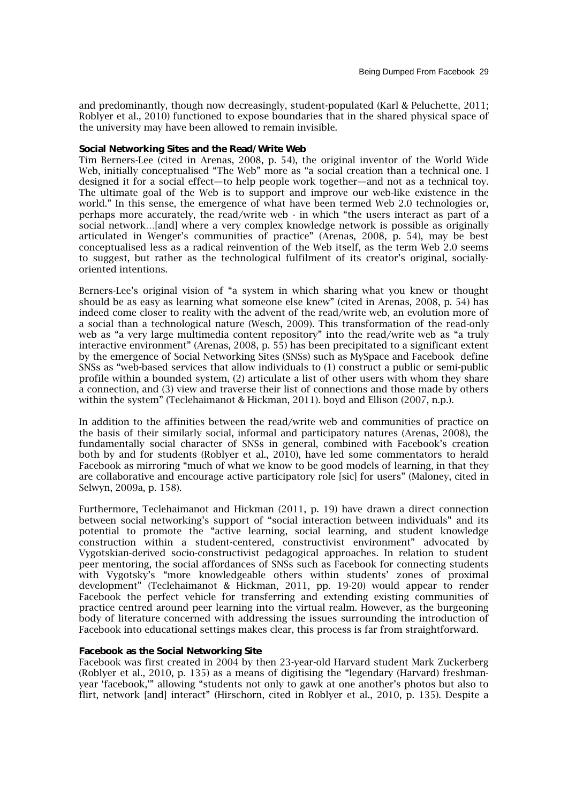and predominantly, though now decreasingly, student-populated (Karl & Peluchette, 2011; Roblyer et al., 2010) functioned to expose boundaries that in the shared physical space of the university may have been allowed to remain invisible.

#### **Social Networking Sites and the Read/Write Web**

Tim Berners-Lee (cited in Arenas, 2008, p. 54), the original inventor of the World Wide Web, initially conceptualised "The Web" more as "a social creation than a technical one. I designed it for a social effect—to help people work together—and not as a technical toy. The ultimate goal of the Web is to support and improve our web-like existence in the world." In this sense, the emergence of what have been termed Web 2.0 technologies or, perhaps more accurately, the read/write web - in which "the users interact as part of a social network…[and] where a very complex knowledge network is possible as originally articulated in Wenger's communities of practice" (Arenas, 2008, p. 54), may be best conceptualised less as a radical reinvention of the Web itself, as the term Web 2.0 seems to suggest, but rather as the technological fulfilment of its creator's original, sociallyoriented intentions.

Berners-Lee's original vision of "a system in which sharing what you knew or thought should be as easy as learning what someone else knew" (cited in Arenas, 2008, p. 54) has indeed come closer to reality with the advent of the read/write web, an evolution more of a social than a technological nature (Wesch, 2009). This transformation of the read-only web as "a very large multimedia content repository" into the read/write web as "a truly interactive environment" (Arenas, 2008, p. 55) has been precipitated to a significant extent by the emergence of Social Networking Sites (SNSs) such as MySpace and Facebook define SNSs as "web-based services that allow individuals to (1) construct a public or semi-public profile within a bounded system, (2) articulate a list of other users with whom they share a connection, and (3) view and traverse their list of connections and those made by others within the system" (Teclehaimanot & Hickman, 2011). boyd and Ellison (2007, n.p.).

In addition to the affinities between the read/write web and communities of practice on the basis of their similarly social, informal and participatory natures (Arenas, 2008), the fundamentally social character of SNSs in general, combined with Facebook's creation both by and for students (Roblyer et al., 2010), have led some commentators to herald Facebook as mirroring "much of what we know to be good models of learning, in that they are collaborative and encourage active participatory role [sic] for users" (Maloney, cited in Selwyn, 2009a, p. 158).

Furthermore, Teclehaimanot and Hickman (2011, p. 19) have drawn a direct connection between social networking's support of "social interaction between individuals" and its potential to promote the "active learning, social learning, and student knowledge construction within a student-centered, constructivist environment" advocated by Vygotskian-derived socio-constructivist pedagogical approaches. In relation to student peer mentoring, the social affordances of SNSs such as Facebook for connecting students with Vygotsky's "more knowledgeable others within students' zones of proximal development" (Teclehaimanot & Hickman, 2011, pp. 19-20) would appear to render Facebook the perfect vehicle for transferring and extending existing communities of practice centred around peer learning into the virtual realm. However, as the burgeoning body of literature concerned with addressing the issues surrounding the introduction of Facebook into educational settings makes clear, this process is far from straightforward.

## **Facebook as** *the* **Social Networking Site**

Facebook was first created in 2004 by then 23-year-old Harvard student Mark Zuckerberg (Roblyer et al., 2010, p. 135) as a means of digitising the "legendary (Harvard) freshmanyear 'facebook,'" allowing "students not only to gawk at one another's photos but also to flirt, network [and] interact" (Hirschorn, cited in Roblyer et al., 2010, p. 135). Despite a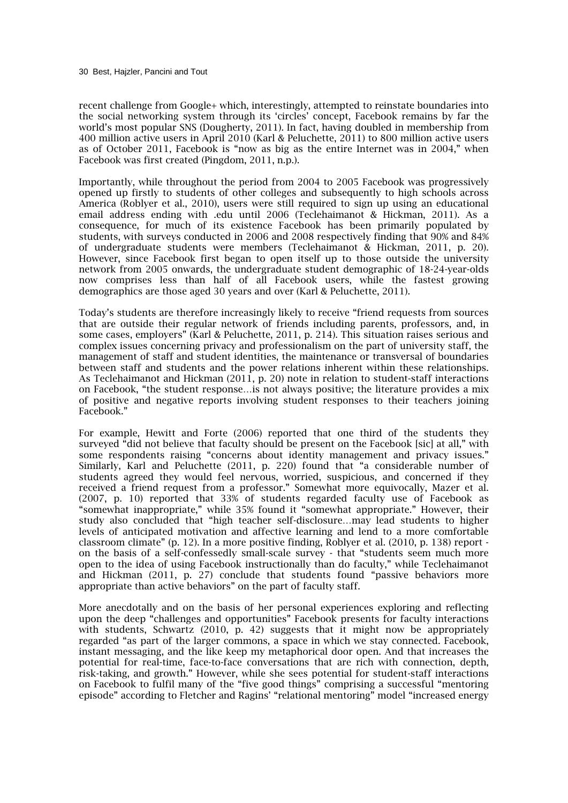recent challenge from Google+ which, interestingly, attempted to reinstate boundaries into the social networking system through its 'circles' concept, Facebook remains by far the world's most popular SNS (Dougherty, 2011). In fact, having doubled in membership from 400 million active users in April 2010 (Karl & Peluchette, 2011) to 800 million active users as of October 2011, Facebook is "now as big as the entire Internet was in 2004," when Facebook was first created (Pingdom, 2011, n.p.).

Importantly, while throughout the period from 2004 to 2005 Facebook was progressively opened up firstly to students of other colleges and subsequently to high schools across America (Roblyer et al., 2010), users were still required to sign up using an educational email address ending with .edu until 2006 (Teclehaimanot & Hickman, 2011). As a consequence, for much of its existence Facebook has been primarily populated by students, with surveys conducted in 2006 and 2008 respectively finding that 90% and 84% of undergraduate students were members (Teclehaimanot & Hickman, 2011, p. 20). However, since Facebook first began to open itself up to those outside the university network from 2005 onwards, the undergraduate student demographic of 18-24-year-olds now comprises less than half of all Facebook users, while the fastest growing demographics are those aged 30 years and over (Karl & Peluchette, 2011).

Today's students are therefore increasingly likely to receive "friend requests from sources that are outside their regular network of friends including parents, professors, and, in some cases, employers" (Karl & Peluchette, 2011, p. 214). This situation raises serious and complex issues concerning privacy and professionalism on the part of university staff, the management of staff and student identities, the maintenance or transversal of boundaries between staff and students and the power relations inherent within these relationships. As Teclehaimanot and Hickman (2011, p. 20) note in relation to student-staff interactions on Facebook, "the student response…is not always positive; the literature provides a mix of positive and negative reports involving student responses to their teachers joining Facebook."

For example, Hewitt and Forte (2006) reported that one third of the students they surveyed "did not believe that faculty should be present on the Facebook [sic] at all," with some respondents raising "concerns about identity management and privacy issues." Similarly, Karl and Peluchette (2011, p. 220) found that "a considerable number of students agreed they would feel nervous, worried, suspicious, and concerned if they received a friend request from a professor." Somewhat more equivocally, Mazer et al. (2007, p. 10) reported that 33% of students regarded faculty use of Facebook as "somewhat inappropriate," while 35% found it "somewhat appropriate." However, their study also concluded that "high teacher self-disclosure…may lead students to higher levels of anticipated motivation and affective learning and lend to a more comfortable classroom climate" (p. 12). In a more positive finding, Roblyer et al. (2010, p. 138) report on the basis of a self-confessedly small-scale survey - that "students seem much more open to the idea of using Facebook instructionally than do faculty," while Teclehaimanot and Hickman (2011, p. 27) conclude that students found "passive behaviors more appropriate than active behaviors" on the part of faculty staff.

More anecdotally and on the basis of her personal experiences exploring and reflecting upon the deep "challenges and opportunities" Facebook presents for faculty interactions with students, Schwartz (2010, p. 42) suggests that it might now be appropriately regarded "as part of the larger commons, a space in which we stay connected. Facebook, instant messaging, and the like keep my metaphorical door open. And that increases the potential for real-time, face-to-face conversations that are rich with connection, depth, risk-taking, and growth." However, while she sees potential for student-staff interactions on Facebook to fulfil many of the "five good things" comprising a successful "mentoring episode" according to Fletcher and Ragins' "relational mentoring" model "increased energy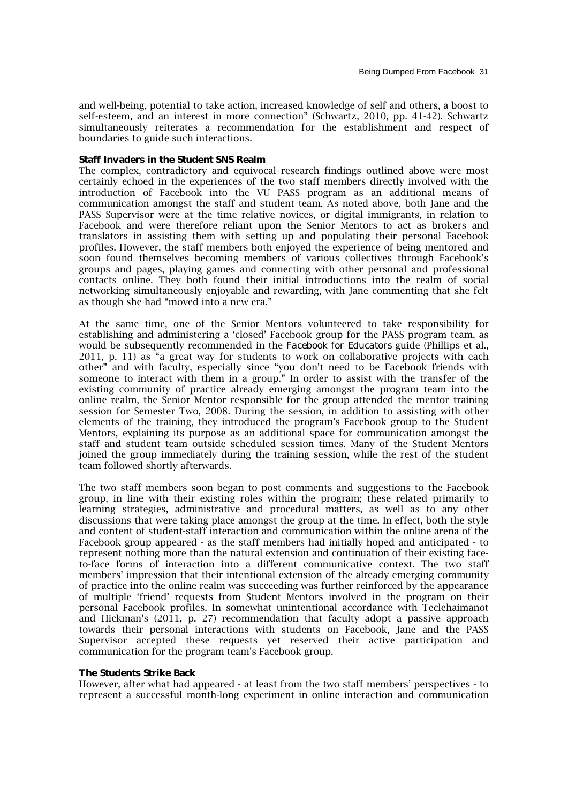and well-being, potential to take action, increased knowledge of self and others, a boost to self-esteem, and an interest in more connection" (Schwartz, 2010, pp. 41-42). Schwartz simultaneously reiterates a recommendation for the establishment and respect of boundaries to guide such interactions.

#### **Staff Invaders in the Student SNS Realm**

The complex, contradictory and equivocal research findings outlined above were most certainly echoed in the experiences of the two staff members directly involved with the introduction of Facebook into the VU PASS program as an additional means of communication amongst the staff and student team. As noted above, both Jane and the PASS Supervisor were at the time relative novices, or digital immigrants, in relation to Facebook and were therefore reliant upon the Senior Mentors to act as brokers and translators in assisting them with setting up and populating their personal Facebook profiles. However, the staff members both enjoyed the experience of being mentored and soon found themselves becoming members of various collectives through Facebook's groups and pages, playing games and connecting with other personal and professional contacts online. They both found their initial introductions into the realm of social networking simultaneously enjoyable and rewarding, with Jane commenting that she felt as though she had "moved into a new era."

At the same time, one of the Senior Mentors volunteered to take responsibility for establishing and administering a 'closed' Facebook group for the PASS program team, as would be subsequently recommended in the *Facebook for Educators* guide (Phillips et al., 2011, p. 11) as "a great way for students to work on collaborative projects with each other" and with faculty, especially since "you don't need to be Facebook friends with someone to interact with them in a group." In order to assist with the transfer of the existing community of practice already emerging amongst the program team into the online realm, the Senior Mentor responsible for the group attended the mentor training session for Semester Two, 2008. During the session, in addition to assisting with other elements of the training, they introduced the program's Facebook group to the Student Mentors, explaining its purpose as an additional space for communication amongst the staff and student team outside scheduled session times. Many of the Student Mentors joined the group immediately during the training session, while the rest of the student team followed shortly afterwards.

The two staff members soon began to post comments and suggestions to the Facebook group, in line with their existing roles within the program; these related primarily to learning strategies, administrative and procedural matters, as well as to any other discussions that were taking place amongst the group at the time. In effect, both the style and content of student-staff interaction and communication within the online arena of the Facebook group appeared - as the staff members had initially hoped and anticipated - to represent nothing more than the natural extension and continuation of their existing faceto-face forms of interaction into a different communicative context. The two staff members' impression that their intentional extension of the already emerging community of practice into the online realm was succeeding was further reinforced by the appearance of multiple 'friend' requests from Student Mentors involved in the program on their personal Facebook profiles. In somewhat unintentional accordance with Teclehaimanot and Hickman's (2011, p. 27) recommendation that faculty adopt a passive approach towards their personal interactions with students on Facebook, Jane and the PASS Supervisor accepted these requests yet reserved their active participation and communication for the program team's Facebook group.

#### **The Students Strike Back**

However, after what had appeared - at least from the two staff members' perspectives - to represent a successful month-long experiment in online interaction and communication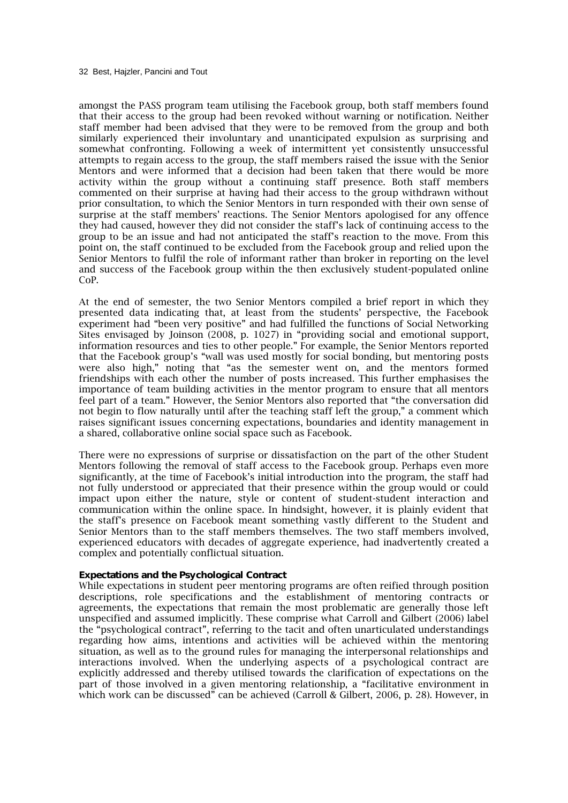amongst the PASS program team utilising the Facebook group, both staff members found that their access to the group had been revoked without warning or notification. Neither staff member had been advised that they were to be removed from the group and both similarly experienced their involuntary and unanticipated expulsion as surprising and somewhat confronting. Following a week of intermittent yet consistently unsuccessful attempts to regain access to the group, the staff members raised the issue with the Senior Mentors and were informed that a decision had been taken that there would be more activity within the group without a continuing staff presence. Both staff members commented on their surprise at having had their access to the group withdrawn without prior consultation, to which the Senior Mentors in turn responded with their own sense of surprise at the staff members' reactions. The Senior Mentors apologised for any offence they had caused, however they did not consider the staff's lack of continuing access to the group to be an issue and had not anticipated the staff's reaction to the move. From this point on, the staff continued to be excluded from the Facebook group and relied upon the Senior Mentors to fulfil the role of informant rather than broker in reporting on the level and success of the Facebook group within the then exclusively student-populated online CoP.

At the end of semester, the two Senior Mentors compiled a brief report in which they presented data indicating that, at least from the students' perspective, the Facebook experiment had "been very positive" and had fulfilled the functions of Social Networking Sites envisaged by Joinson (2008, p. 1027) in "providing social and emotional support, information resources and ties to other people." For example, the Senior Mentors reported that the Facebook group's "wall was used mostly for social bonding, but mentoring posts were also high," noting that "as the semester went on, and the mentors formed friendships with each other the number of posts increased. This further emphasises the importance of team building activities in the mentor program to ensure that all mentors feel part of a team." However, the Senior Mentors also reported that "the conversation did not begin to flow naturally until after the teaching staff left the group," a comment which raises significant issues concerning expectations, boundaries and identity management in a shared, collaborative online social space such as Facebook.

There were no expressions of surprise or dissatisfaction on the part of the other Student Mentors following the removal of staff access to the Facebook group. Perhaps even more significantly, at the time of Facebook's initial introduction into the program, the staff had not fully understood or appreciated that their presence within the group would or could impact upon either the nature, style or content of student-student interaction and communication within the online space. In hindsight, however, it is plainly evident that the staff's presence on Facebook meant something vastly different to the Student and Senior Mentors than to the staff members themselves. The two staff members involved, experienced educators with decades of aggregate experience, had inadvertently created a complex and potentially conflictual situation.

#### **Expectations and the Psychological Contract**

While expectations in student peer mentoring programs are often reified through position descriptions, role specifications and the establishment of mentoring contracts or agreements, the expectations that remain the most problematic are generally those left unspecified and assumed implicitly. These comprise what Carroll and Gilbert (2006) label the "psychological contract", referring to the tacit and often unarticulated understandings regarding how aims, intentions and activities will be achieved within the mentoring situation, as well as to the ground rules for managing the interpersonal relationships and interactions involved. When the underlying aspects of a psychological contract are explicitly addressed and thereby utilised towards the clarification of expectations on the part of those involved in a given mentoring relationship, a "facilitative environment in which work can be discussed" can be achieved (Carroll & Gilbert, 2006, p. 28). However, in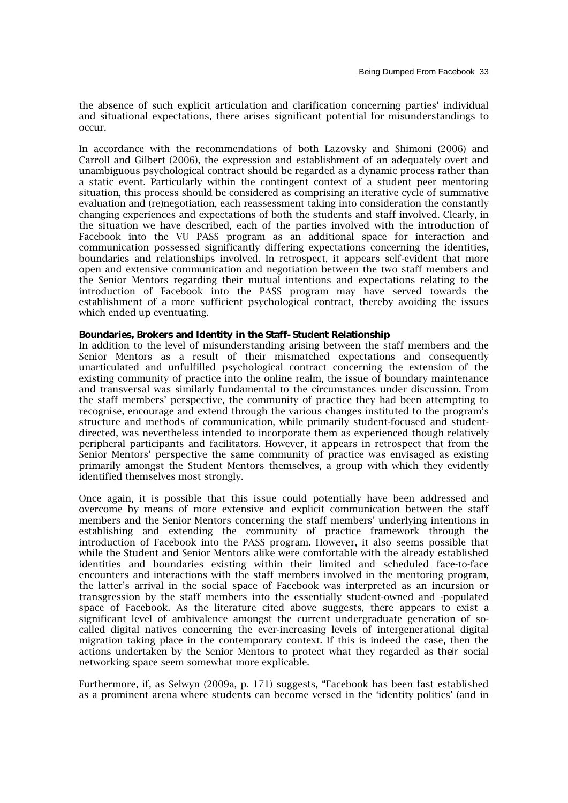the absence of such explicit articulation and clarification concerning parties' individual and situational expectations, there arises significant potential for misunderstandings to occur.

In accordance with the recommendations of both Lazovsky and Shimoni (2006) and Carroll and Gilbert (2006), the expression and establishment of an adequately overt and unambiguous psychological contract should be regarded as a dynamic process rather than a static event. Particularly within the contingent context of a student peer mentoring situation, this process should be considered as comprising an iterative cycle of summative evaluation and (re)negotiation, each reassessment taking into consideration the constantly changing experiences and expectations of both the students and staff involved. Clearly, in the situation we have described, each of the parties involved with the introduction of Facebook into the VU PASS program as an additional space for interaction and communication possessed significantly differing expectations concerning the identities, boundaries and relationships involved. In retrospect, it appears self-evident that more open and extensive communication and negotiation between the two staff members and the Senior Mentors regarding their mutual intentions and expectations relating to the introduction of Facebook into the PASS program may have served towards the establishment of a more sufficient psychological contract, thereby avoiding the issues which ended up eventuating.

#### **Boundaries, Brokers and Identity in the Staff-Student Relationship**

In addition to the level of misunderstanding arising between the staff members and the Senior Mentors as a result of their mismatched expectations and consequently unarticulated and unfulfilled psychological contract concerning the extension of the existing community of practice into the online realm, the issue of boundary maintenance and transversal was similarly fundamental to the circumstances under discussion. From the staff members' perspective, the community of practice they had been attempting to recognise, encourage and extend through the various changes instituted to the program's structure and methods of communication, while primarily student-focused and studentdirected, was nevertheless intended to incorporate them as experienced though relatively peripheral participants and facilitators. However, it appears in retrospect that from the Senior Mentors' perspective the same community of practice was envisaged as existing primarily amongst the Student Mentors themselves, a group with which they evidently identified themselves most strongly.

Once again, it is possible that this issue could potentially have been addressed and overcome by means of more extensive and explicit communication between the staff members and the Senior Mentors concerning the staff members' underlying intentions in establishing and extending the community of practice framework through the introduction of Facebook into the PASS program. However, it also seems possible that while the Student and Senior Mentors alike were comfortable with the already established identities and boundaries existing within their limited and scheduled face-to-face encounters and interactions with the staff members involved in the mentoring program, the latter's arrival in the social space of Facebook was interpreted as an incursion or transgression by the staff members into the essentially student-owned and -populated space of Facebook. As the literature cited above suggests, there appears to exist a significant level of ambivalence amongst the current undergraduate generation of socalled digital natives concerning the ever-increasing levels of intergenerational digital migration taking place in the contemporary context. If this is indeed the case, then the actions undertaken by the Senior Mentors to protect what they regarded as *their* social networking space seem somewhat more explicable.

Furthermore, if, as Selwyn (2009a, p. 171) suggests, "Facebook has been fast established as a prominent arena where students can become versed in the 'identity politics' (and in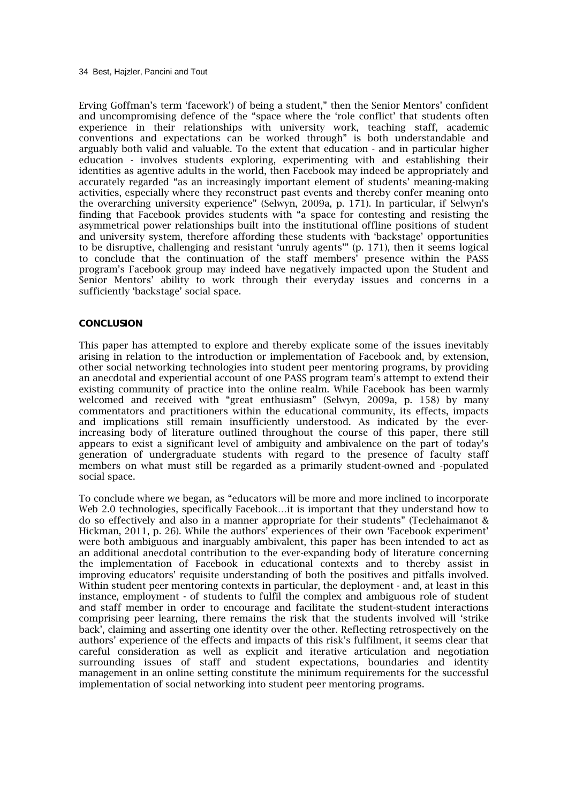34 Best, Hajzler, Pancini and Tout

Erving Goffman's term 'facework') of being a student," then the Senior Mentors' confident and uncompromising defence of the "space where the 'role conflict' that students often experience in their relationships with university work, teaching staff, academic conventions and expectations can be worked through" is both understandable and arguably both valid and valuable. To the extent that education - and in particular higher education - involves students exploring, experimenting with and establishing their identities as agentive adults in the world, then Facebook may indeed be appropriately and accurately regarded "as an increasingly important element of students' meaning-making activities, especially where they reconstruct past events and thereby confer meaning onto the overarching university experience" (Selwyn, 2009a, p. 171). In particular, if Selwyn's finding that Facebook provides students with "a space for contesting and resisting the asymmetrical power relationships built into the institutional offline positions of student and university system, therefore affording these students with 'backstage' opportunities to be disruptive, challenging and resistant 'unruly agents'" (p. 171), then it seems logical to conclude that the continuation of the staff members' presence within the PASS program's Facebook group may indeed have negatively impacted upon the Student and Senior Mentors' ability to work through their everyday issues and concerns in a sufficiently 'backstage' social space.

## **CONCLUSION**

This paper has attempted to explore and thereby explicate some of the issues inevitably arising in relation to the introduction or implementation of Facebook and, by extension, other social networking technologies into student peer mentoring programs, by providing an anecdotal and experiential account of one PASS program team's attempt to extend their existing community of practice into the online realm. While Facebook has been warmly welcomed and received with "great enthusiasm" (Selwyn, 2009a, p. 158) by many commentators and practitioners within the educational community, its effects, impacts and implications still remain insufficiently understood. As indicated by the everincreasing body of literature outlined throughout the course of this paper, there still appears to exist a significant level of ambiguity and ambivalence on the part of today's generation of undergraduate students with regard to the presence of faculty staff members on what must still be regarded as a primarily student-owned and -populated social space.

To conclude where we began, as "educators will be more and more inclined to incorporate Web 2.0 technologies, specifically Facebook…it is important that they understand how to do so effectively and also in a manner appropriate for their students" (Teclehaimanot & Hickman, 2011, p. 26). While the authors' experiences of their own 'Facebook experiment' were both ambiguous and inarguably ambivalent, this paper has been intended to act as an additional anecdotal contribution to the ever-expanding body of literature concerning the implementation of Facebook in educational contexts and to thereby assist in improving educators' requisite understanding of both the positives and pitfalls involved. Within student peer mentoring contexts in particular, the deployment - and, at least in this instance, employment - of students to fulfil the complex and ambiguous role of student *and* staff member in order to encourage and facilitate the student-student interactions comprising peer learning, there remains the risk that the students involved will 'strike back', claiming and asserting one identity over the other. Reflecting retrospectively on the authors' experience of the effects and impacts of this risk's fulfilment, it seems clear that careful consideration as well as explicit and iterative articulation and negotiation surrounding issues of staff and student expectations, boundaries and identity management in an online setting constitute the minimum requirements for the successful implementation of social networking into student peer mentoring programs.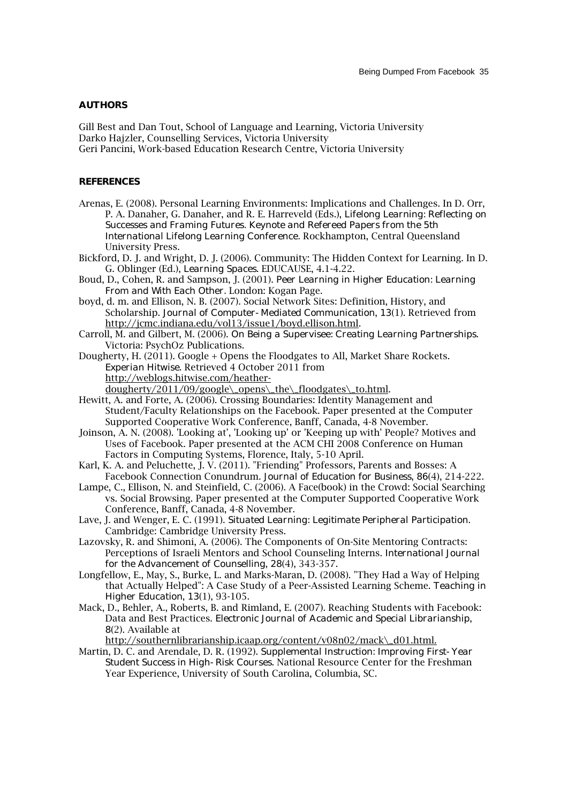#### **AUTHORS**

Gill Best and Dan Tout, School of Language and Learning, Victoria University Darko Hajzler, Counselling Services, Victoria University Geri Pancini, Work-based Education Research Centre, Victoria University

#### **REFERENCES**

- Arenas, E. (2008). Personal Learning Environments: Implications and Challenges. In D. Orr, P. A. Danaher, G. Danaher, and R. E. Harreveld (Eds.), *Lifelong Learning: Reflecting on Successes and Framing Futures. Keynote and Refereed Papers from the 5th International Lifelong Learning Conference.* Rockhampton, Central Queensland University Press.
- Bickford, D. J. and Wright, D. J. (2006). Community: The Hidden Context for Learning. In D. G. Oblinger (Ed.), *Learning Spaces*. EDUCAUSE, 4.1-4.22.
- Boud, D., Cohen, R. and Sampson, J. (2001). *Peer Learning in Higher Education: Learning From and With Each Other.* London: Kogan Page.
- boyd, d. m. and Ellison, N. B. (2007). Social Network Sites: Definition, History, and Scholarship. *Journal of Computer-Mediated Communication*, *13*(1). Retrieved from http://jcmc.indiana.edu/vol13/issue1/boyd.ellison.html.
- Carroll, M. and Gilbert, M. (2006). *On Being a Supervisee: Creating Learning Partnerships*. Victoria: PsychOz Publications.
- Dougherty, H. (2011). Google + Opens the Floodgates to All, Market Share Rockets. *Experian Hitwise*. Retrieved 4 October 2011 from http://weblogs.hitwise.com/heatherdougherty/2011/09/google\\_opens\\_the\\_floodgates\\_to.html.
- Hewitt, A. and Forte, A. (2006). Crossing Boundaries: Identity Management and Student/Faculty Relationships on the Facebook. Paper presented at the Computer Supported Cooperative Work Conference, Banff, Canada, 4-8 November.
- Joinson, A. N. (2008). 'Looking at', 'Looking up' or 'Keeping up with' People? Motives and Uses of Facebook. Paper presented at the ACM CHI 2008 Conference on Human Factors in Computing Systems, Florence, Italy, 5-10 April.
- Karl, K. A. and Peluchette, J. V. (2011). "Friending" Professors, Parents and Bosses: A Facebook Connection Conundrum. *Journal of Education for Business*, *86*(4), 214-222.
- Lampe, C., Ellison, N. and Steinfield, C. (2006). A Face(book) in the Crowd: Social Searching vs. Social Browsing. Paper presented at the Computer Supported Cooperative Work Conference, Banff, Canada, 4-8 November.
- Lave, J. and Wenger, E. C. (1991). *Situated Learning: Legitimate Peripheral Participation*. Cambridge: Cambridge University Press.
- Lazovsky, R. and Shimoni, A. (2006). The Components of On-Site Mentoring Contracts: Perceptions of Israeli Mentors and School Counseling Interns. *International Journal for the Advancement of Counselling*, *28*(4), 343-357.
- Longfellow, E., May, S., Burke, L. and Marks-Maran, D. (2008). "They Had a Way of Helping that Actually Helped": A Case Study of a Peer-Assisted Learning Scheme. *Teaching in Higher Education*, *13*(1), 93-105.
- Mack, D., Behler, A., Roberts, B. and Rimland, E. (2007). Reaching Students with Facebook: Data and Best Practices. *Electronic Journal of Academic and Special Librarianship*, *8*(2). Available at

http://southernlibrarianship.icaap.org/content/v08n02/mack\\_d01.html.

Martin, D. C. and Arendale, D. R. (1992). *Supplemental Instruction: Improving First-Year Student Success in High-Risk Courses*. National Resource Center for the Freshman Year Experience, University of South Carolina, Columbia, SC.